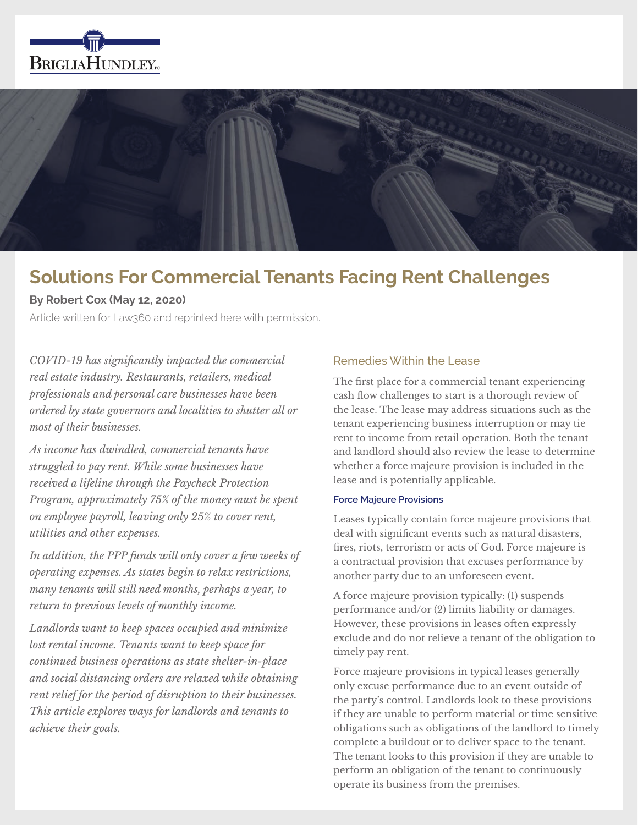



# **Solutions For Commercial Tenants Facing Rent Challenges**

# **By Robert Cox (May 12, 2020)**

Article written for Law360 and reprinted here with permission.

*COVID-19 has significantly impacted the commercial real estate industry. Restaurants, retailers, medical professionals and personal care businesses have been ordered by state governors and localities to shutter all or most of their businesses.* 

*As income has dwindled, commercial tenants have struggled to pay rent. While some businesses have received a lifeline through the Paycheck Protection Program, approximately 75% of the money must be spent on employee payroll, leaving only 25% to cover rent, utilities and other expenses.*

*In addition, the PPP funds will only cover a few weeks of operating expenses. As states begin to relax restrictions, many tenants will still need months, perhaps a year, to return to previous levels of monthly income.*

*Landlords want to keep spaces occupied and minimize lost rental income. Tenants want to keep space for continued business operations as state shelter-in-place and social distancing orders are relaxed while obtaining rent relief for the period of disruption to their businesses. This article explores ways for landlords and tenants to achieve their goals.*

## Remedies Within the Lease

The first place for a commercial tenant experiencing cash flow challenges to start is a thorough review of the lease. The lease may address situations such as the tenant experiencing business interruption or may tie rent to income from retail operation. Both the tenant and landlord should also review the lease to determine whether a force majeure provision is included in the lease and is potentially applicable.

#### **Force Majeure Provisions**

Leases typically contain force majeure provisions that deal with significant events such as natural disasters, fires, riots, terrorism or acts of God. Force majeure is a contractual provision that excuses performance by another party due to an unforeseen event.

A force majeure provision typically: (1) suspends performance and/or (2) limits liability or damages. However, these provisions in leases often expressly exclude and do not relieve a tenant of the obligation to timely pay rent.

Force majeure provisions in typical leases generally only excuse performance due to an event outside of the party's control. Landlords look to these provisions if they are unable to perform material or time sensitive obligations such as obligations of the landlord to timely complete a buildout or to deliver space to the tenant. The tenant looks to this provision if they are unable to perform an obligation of the tenant to continuously operate its business from the premises.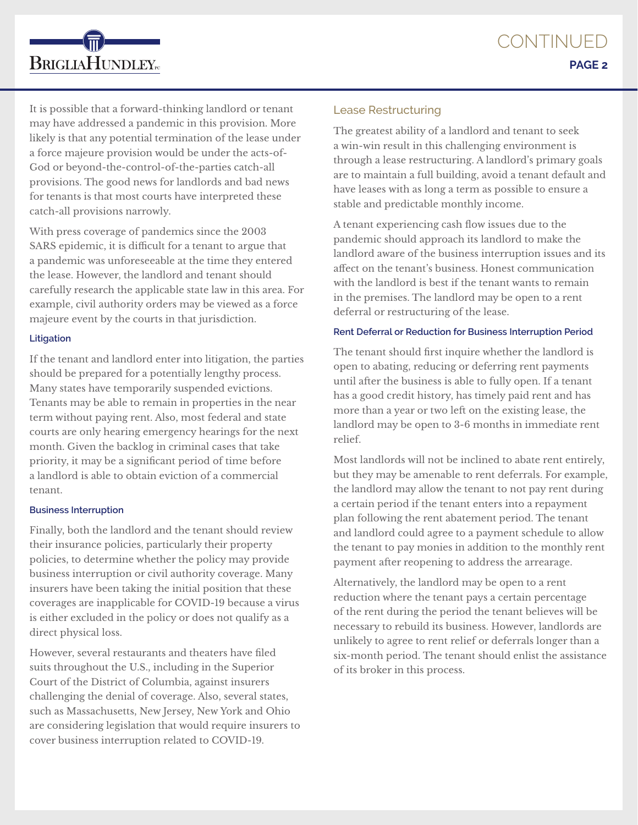

It is possible that a forward-thinking landlord or tenant may have addressed a pandemic in this provision. More likely is that any potential termination of the lease under a force majeure provision would be under the acts-of-God or beyond-the-control-of-the-parties catch-all provisions. The good news for landlords and bad news for tenants is that most courts have interpreted these catch-all provisions narrowly.

With press coverage of pandemics since the 2003 SARS epidemic, it is difficult for a tenant to argue that a pandemic was unforeseeable at the time they entered the lease. However, the landlord and tenant should carefully research the applicable state law in this area. For example, civil authority orders may be viewed as a force majeure event by the courts in that jurisdiction.

## **Litigation**

If the tenant and landlord enter into litigation, the parties should be prepared for a potentially lengthy process. Many states have temporarily suspended evictions. Tenants may be able to remain in properties in the near term without paying rent. Also, most federal and state courts are only hearing emergency hearings for the next month. Given the backlog in criminal cases that take priority, it may be a significant period of time before a landlord is able to obtain eviction of a commercial tenant.

## **Business Interruption**

Finally, both the landlord and the tenant should review their insurance policies, particularly their property policies, to determine whether the policy may provide business interruption or civil authority coverage. Many insurers have been taking the initial position that these coverages are inapplicable for COVID-19 because a virus is either excluded in the policy or does not qualify as a direct physical loss.

However, several restaurants and theaters have filed suits throughout the U.S., including in the Superior Court of the District of Columbia, against insurers challenging the denial of coverage. Also, several states, such as Massachusetts, New Jersey, New York and Ohio are considering legislation that would require insurers to cover business interruption related to COVID-19.

# Lease Restructuring

The greatest ability of a landlord and tenant to seek a win-win result in this challenging environment is through a lease restructuring. A landlord's primary goals are to maintain a full building, avoid a tenant default and have leases with as long a term as possible to ensure a stable and predictable monthly income.

A tenant experiencing cash flow issues due to the pandemic should approach its landlord to make the landlord aware of the business interruption issues and its affect on the tenant's business. Honest communication with the landlord is best if the tenant wants to remain in the premises. The landlord may be open to a rent deferral or restructuring of the lease.

## **Rent Deferral or Reduction for Business Interruption Period**

The tenant should first inquire whether the landlord is open to abating, reducing or deferring rent payments until after the business is able to fully open. If a tenant has a good credit history, has timely paid rent and has more than a year or two left on the existing lease, the landlord may be open to 3-6 months in immediate rent relief.

Most landlords will not be inclined to abate rent entirely, but they may be amenable to rent deferrals. For example, the landlord may allow the tenant to not pay rent during a certain period if the tenant enters into a repayment plan following the rent abatement period. The tenant and landlord could agree to a payment schedule to allow the tenant to pay monies in addition to the monthly rent payment after reopening to address the arrearage.

Alternatively, the landlord may be open to a rent reduction where the tenant pays a certain percentage of the rent during the period the tenant believes will be necessary to rebuild its business. However, landlords are unlikely to agree to rent relief or deferrals longer than a six-month period. The tenant should enlist the assistance of its broker in this process.